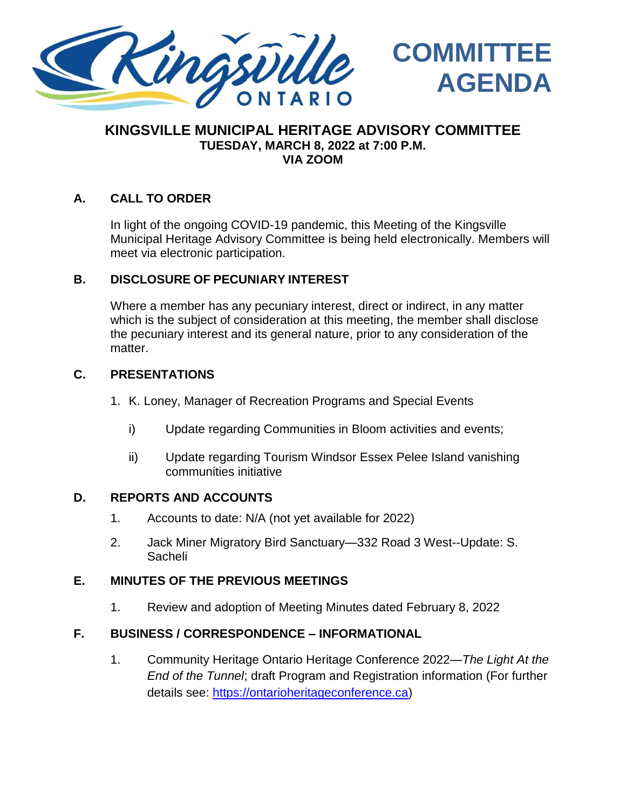

### **KINGSVILLE MUNICIPAL HERITAGE ADVISORY COMMITTEE TUESDAY, MARCH 8, 2022 at 7:00 P.M. VIA ZOOM**

**COMMITTEE**

**AGENDA**

### **A. CALL TO ORDER**

In light of the ongoing COVID-19 pandemic, this Meeting of the Kingsville Municipal Heritage Advisory Committee is being held electronically. Members will meet via electronic participation.

#### **B. DISCLOSURE OF PECUNIARY INTEREST**

Where a member has any pecuniary interest, direct or indirect, in any matter which is the subject of consideration at this meeting, the member shall disclose the pecuniary interest and its general nature, prior to any consideration of the matter.

#### **C. PRESENTATIONS**

- 1. K. Loney, Manager of Recreation Programs and Special Events
	- i) Update regarding Communities in Bloom activities and events;
	- ii) Update regarding Tourism Windsor Essex Pelee Island vanishing communities initiative

#### **D. REPORTS AND ACCOUNTS**

- 1. Accounts to date: N/A (not yet available for 2022)
- 2. Jack Miner Migratory Bird Sanctuary—332 Road 3 West--Update: S. Sacheli

#### **E. MINUTES OF THE PREVIOUS MEETINGS**

1. Review and adoption of Meeting Minutes dated February 8, 2022

#### **F. BUSINESS / CORRESPONDENCE – INFORMATIONAL**

1. Community Heritage Ontario Heritage Conference 2022—*The Light At the End of the Tunnel*; draft Program and Registration information (For further details see: [https://ontarioheritageconference.ca\)](https://ontarioheritageconference.ca/)